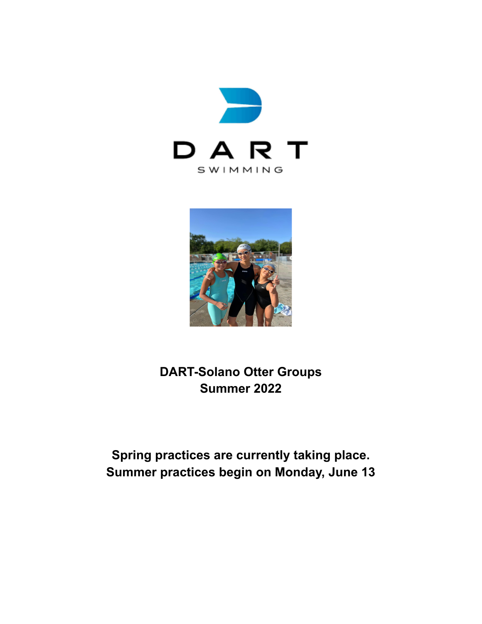



**DART-Solano Otter Groups Summer 2022**

**Spring practices are currently taking place. Summer practices begin on Monday, June 13**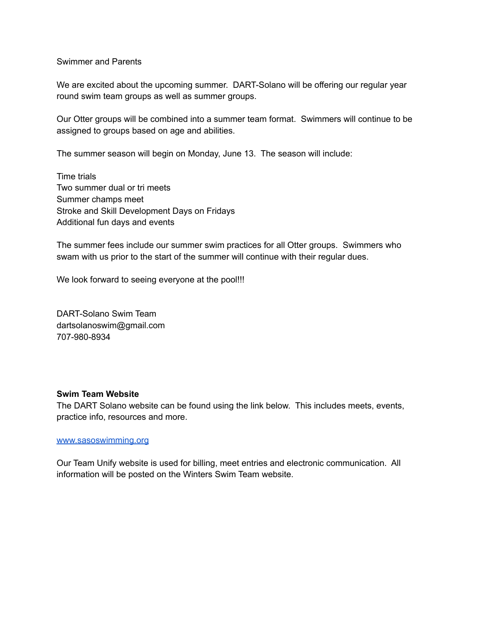## Swimmer and Parents

We are excited about the upcoming summer. DART-Solano will be offering our regular year round swim team groups as well as summer groups.

Our Otter groups will be combined into a summer team format. Swimmers will continue to be assigned to groups based on age and abilities.

The summer season will begin on Monday, June 13. The season will include:

Time trials Two summer dual or tri meets Summer champs meet Stroke and Skill Development Days on Fridays Additional fun days and events

The summer fees include our summer swim practices for all Otter groups. Swimmers who swam with us prior to the start of the summer will continue with their regular dues.

We look forward to seeing everyone at the pool!!!

DART-Solano Swim Team dartsolanoswim@gmail.com 707-980-8934

#### **Swim Team Website**

The DART Solano website can be found using the link below. This includes meets, events, practice info, resources and more.

#### [www.sasoswimming.org](http://www.sasoswimming.org)

Our Team Unify website is used for billing, meet entries and electronic communication. All information will be posted on the Winters Swim Team website.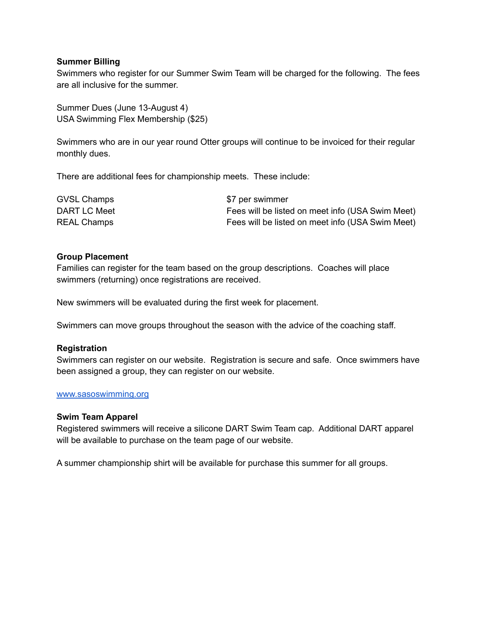## **Summer Billing**

Swimmers who register for our Summer Swim Team will be charged for the following. The fees are all inclusive for the summer.

Summer Dues (June 13-August 4) USA Swimming Flex Membership (\$25)

Swimmers who are in our year round Otter groups will continue to be invoiced for their regular monthly dues.

There are additional fees for championship meets. These include:

| <b>GVSL Champs</b> | \$7 per swimmer                                  |
|--------------------|--------------------------------------------------|
| DART LC Meet       | Fees will be listed on meet info (USA Swim Meet) |
| <b>REAL Champs</b> | Fees will be listed on meet info (USA Swim Meet) |

## **Group Placement**

Families can register for the team based on the group descriptions. Coaches will place swimmers (returning) once registrations are received.

New swimmers will be evaluated during the first week for placement.

Swimmers can move groups throughout the season with the advice of the coaching staff.

#### **Registration**

Swimmers can register on our website. Registration is secure and safe. Once swimmers have been assigned a group, they can register on our website.

## [www.sasoswimming.org](http://www.sasoswimming.org)

#### **Swim Team Apparel**

Registered swimmers will receive a silicone DART Swim Team cap. Additional DART apparel will be available to purchase on the team page of our website.

A summer championship shirt will be available for purchase this summer for all groups.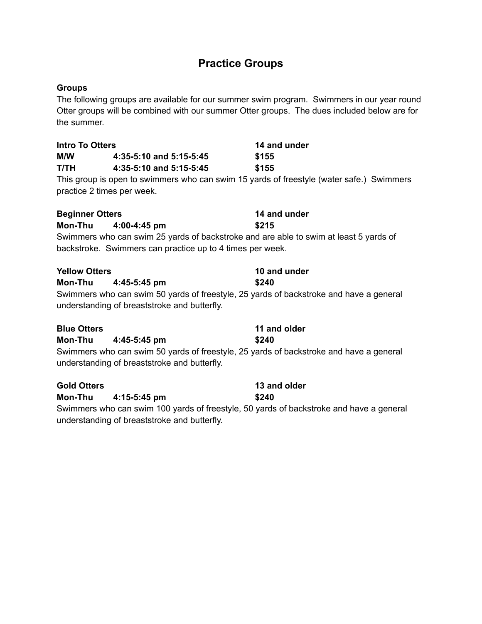# **Practice Groups**

## **Groups**

The following groups are available for our summer swim program. Swimmers in our year round Otter groups will be combined with our summer Otter groups. The dues included below are for the summer.

| <b>Intro To Otters</b>                                                                                                                 |                                                           | 14 and under                                                                             |
|----------------------------------------------------------------------------------------------------------------------------------------|-----------------------------------------------------------|------------------------------------------------------------------------------------------|
| M/W                                                                                                                                    | 4:35-5:10 and 5:15-5:45                                   | \$155                                                                                    |
| <b>T/TH</b>                                                                                                                            | 4:35-5:10 and 5:15-5:45                                   | \$155                                                                                    |
| practice 2 times per week.                                                                                                             |                                                           | This group is open to swimmers who can swim 15 yards of freestyle (water safe.) Swimmers |
| <b>Beginner Otters</b>                                                                                                                 |                                                           | 14 and under                                                                             |
| <b>Mon-Thu</b>                                                                                                                         | 4:00-4:45 pm                                              | \$215                                                                                    |
|                                                                                                                                        |                                                           | Swimmers who can swim 25 yards of backstroke and are able to swim at least 5 yards of    |
|                                                                                                                                        | backstroke. Swimmers can practice up to 4 times per week. |                                                                                          |
| <b>Yellow Otters</b>                                                                                                                   |                                                           | 10 and under                                                                             |
| Mon-Thu                                                                                                                                | 4:45-5:45 pm                                              | \$240                                                                                    |
| Swimmers who can swim 50 yards of freestyle, 25 yards of backstroke and have a general<br>understanding of breaststroke and butterfly. |                                                           |                                                                                          |
| <b>Blue Otters</b>                                                                                                                     |                                                           | 11 and older                                                                             |
| <b>Mon-Thu</b>                                                                                                                         | 4:45-5:45 pm                                              | \$240                                                                                    |
|                                                                                                                                        | understanding of breaststroke and butterfly.              | Swimmers who can swim 50 yards of freestyle, 25 yards of backstroke and have a general   |
| <b>Gold Otters</b>                                                                                                                     |                                                           | 13 and older                                                                             |
| <b>Mon-Thu</b>                                                                                                                         | 4:15-5:45 pm                                              | \$240                                                                                    |
|                                                                                                                                        |                                                           | Swimmers who can swim 100 vards of freestyle 50 vards of backstroke and have a general   |

Swimmers who can swim 100 yards of freestyle, 50 yards of backstroke and have a general understanding of breaststroke and butterfly.